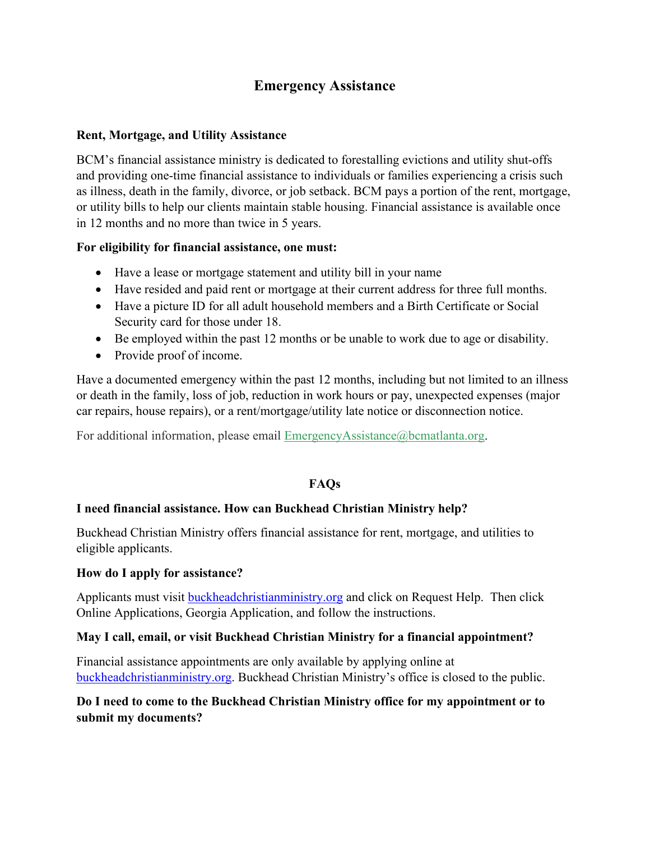# **Emergency Assistance**

#### **Rent, Mortgage, and Utility Assistance**

BCM's financial assistance ministry is dedicated to forestalling evictions and utility shut-offs and providing one-time financial assistance to individuals or families experiencing a crisis such as illness, death in the family, divorce, or job setback. BCM pays a portion of the rent, mortgage, or utility bills to help our clients maintain stable housing. Financial assistance is available once in 12 months and no more than twice in 5 years.

#### **For eligibility for financial assistance, one must:**

- Have a lease or mortgage statement and utility bill in your name
- Have resided and paid rent or mortgage at their current address for three full months.
- Have a picture ID for all adult household members and a Birth Certificate or Social Security card for those under 18.
- Be employed within the past 12 months or be unable to work due to age or disability.
- Provide proof of income.

Have a documented emergency within the past 12 months, including but not limited to an illness or death in the family, loss of job, reduction in work hours or pay, unexpected expenses (major car repairs, house repairs), or a rent/mortgage/utility late notice or disconnection notice.

For additional information, please email [EmergencyAssistance@bcmatlanta.org.](mailto:emergencyassistance@bcmatlanta.org)

## **FAQs**

# **I need financial assistance. How can Buckhead Christian Ministry help?**

Buckhead Christian Ministry offers financial assistance for rent, mortgage, and utilities to eligible applicants.

## **How do I apply for assistance?**

Applicants must visit [buckheadchristianministry.org](http://www.buckheadchristianministry.org/) and click on Request Help. Then click Online Applications, Georgia Application, and follow the instructions.

## **May I call, email, or visit Buckhead Christian Ministry for a financial appointment?**

Financial assistance appointments are only available by applying online at [buckheadchristianministry.org.](https://buckheadchristianministry.org/) Buckhead Christian Ministry's office is closed to the public.

# **Do I need to come to the Buckhead Christian Ministry office for my appointment or to submit my documents?**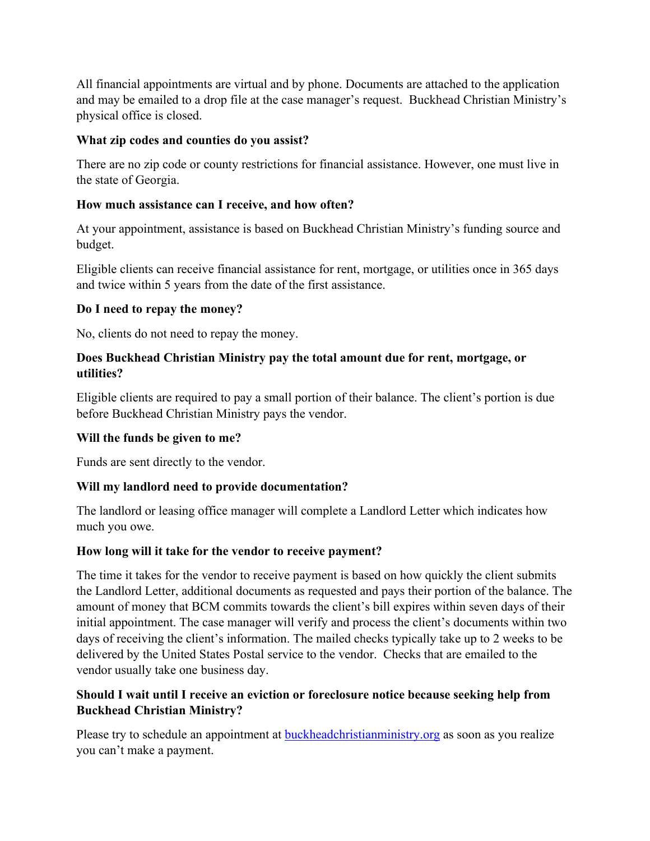All financial appointments are virtual and by phone. Documents are attached to the application and may be emailed to a drop file at the case manager's request. Buckhead Christian Ministry's physical office is closed.

#### **What zip codes and counties do you assist?**

There are no zip code or county restrictions for financial assistance. However, one must live in the state of Georgia.

#### **How much assistance can I receive, and how often?**

At your appointment, assistance is based on Buckhead Christian Ministry's funding source and budget.

Eligible clients can receive financial assistance for rent, mortgage, or utilities once in 365 days and twice within 5 years from the date of the first assistance.

#### **Do I need to repay the money?**

No, clients do not need to repay the money.

## **Does Buckhead Christian Ministry pay the total amount due for rent, mortgage, or utilities?**

Eligible clients are required to pay a small portion of their balance. The client's portion is due before Buckhead Christian Ministry pays the vendor.

## **Will the funds be given to me?**

Funds are sent directly to the vendor.

## **Will my landlord need to provide documentation?**

The landlord or leasing office manager will complete a Landlord Letter which indicates how much you owe.

#### **How long will it take for the vendor to receive payment?**

The time it takes for the vendor to receive payment is based on how quickly the client submits the Landlord Letter, additional documents as requested and pays their portion of the balance. The amount of money that BCM commits towards the client's bill expires within seven days of their initial appointment. The case manager will verify and process the client's documents within two days of receiving the client's information. The mailed checks typically take up to 2 weeks to be delivered by the United States Postal service to the vendor. Checks that are emailed to the vendor usually take one business day.

## **Should I wait until I receive an eviction or foreclosure notice because seeking help from Buckhead Christian Ministry?**

Please try to schedule an appointment at **buckheadchristianministry.org** as soon as you realize you can't make a payment.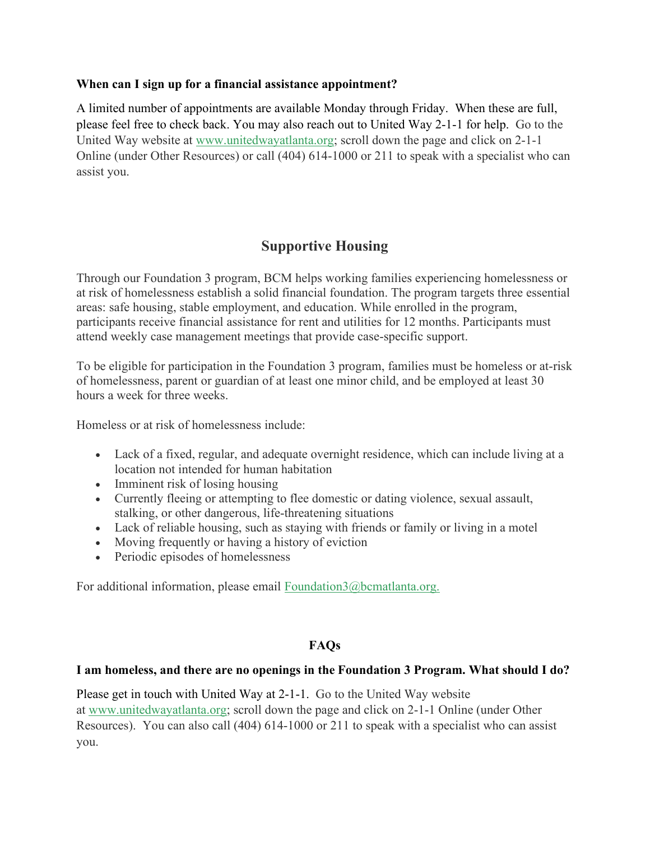#### **When can I sign up for a financial assistance appointment?**

A limited number of appointments are available Monday through Friday. When these are full, please feel free to check back. You may also reach out to United Way 2-1-1 for help. Go to the United Way website at [www.unitedwayatlanta.org;](http://www.unitedwayatlanta.org/) scroll down the page and click on 2-1-1 Online (under Other Resources) or call (404) 614-1000 or 211 to speak with a specialist who can assist you.

# **Supportive Housing**

Through our Foundation 3 program, BCM helps working families experiencing homelessness or at risk of homelessness establish a solid financial foundation. The program targets three essential areas: safe housing, stable employment, and education. While enrolled in the program, participants receive financial assistance for rent and utilities for 12 months. Participants must attend weekly case management meetings that provide case-specific support.

To be eligible for participation in the Foundation 3 program, families must be homeless or at-risk of homelessness, parent or guardian of at least one minor child, and be employed at least 30 hours a week for three weeks.

Homeless or at risk of homelessness include:

- Lack of a fixed, regular, and adequate overnight residence, which can include living at a location not intended for human habitation
- Imminent risk of losing housing
- Currently fleeing or attempting to flee domestic or dating violence, sexual assault, stalking, or other dangerous, life-threatening situations
- Lack of reliable housing, such as staying with friends or family or living in a motel
- Moving frequently or having a history of eviction
- Periodic episodes of homelessness

For additional information, please email [Foundation3@bcmatlanta.org.](mailto:foundation3@bcmatlanta.org)

## **FAQs**

## **I am homeless, and there are no openings in the Foundation 3 Program. What should I do?**

Please get in touch with United Way at 2-1-1. Go to the United Way website at [www.unitedwayatlanta.org;](http://www.unitedwayatlanta.org/) scroll down the page and click on 2-1-1 Online (under Other Resources). You can also call (404) 614-1000 or 211 to speak with a specialist who can assist you.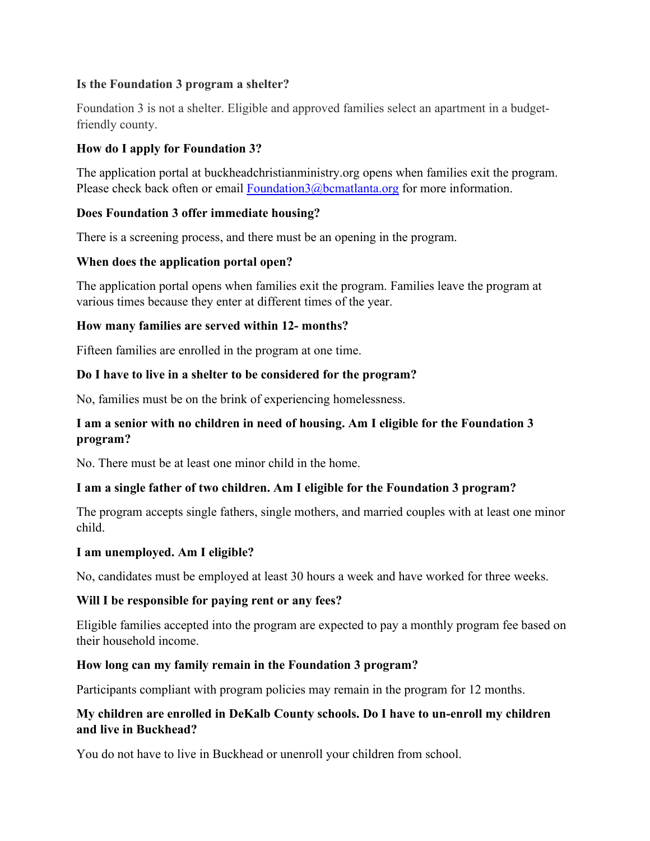## **Is the Foundation 3 program a shelter?**

Foundation 3 is not a shelter. Eligible and approved families select an apartment in a budgetfriendly county.

## **How do I apply for Foundation 3?**

The application portal at buckheadchristianministry.org opens when families exit the program. Please check back often or email [Foundation3@bcmatlanta.org](mailto:Foundation3@bcmatlanta.org) for more information.

## **Does Foundation 3 offer immediate housing?**

There is a screening process, and there must be an opening in the program.

## **When does the application portal open?**

The application portal opens when families exit the program. Families leave the program at various times because they enter at different times of the year.

## **How many families are served within 12- months?**

Fifteen families are enrolled in the program at one time.

## **Do I have to live in a shelter to be considered for the program?**

No, families must be on the brink of experiencing homelessness.

## **I am a senior with no children in need of housing. Am I eligible for the Foundation 3 program?**

No. There must be at least one minor child in the home.

## **I am a single father of two children. Am I eligible for the Foundation 3 program?**

The program accepts single fathers, single mothers, and married couples with at least one minor child.

## **I am unemployed. Am I eligible?**

No, candidates must be employed at least 30 hours a week and have worked for three weeks.

## **Will I be responsible for paying rent or any fees?**

Eligible families accepted into the program are expected to pay a monthly program fee based on their household income.

## **How long can my family remain in the Foundation 3 program?**

Participants compliant with program policies may remain in the program for 12 months.

## **My children are enrolled in DeKalb County schools. Do I have to un-enroll my children and live in Buckhead?**

You do not have to live in Buckhead or unenroll your children from school.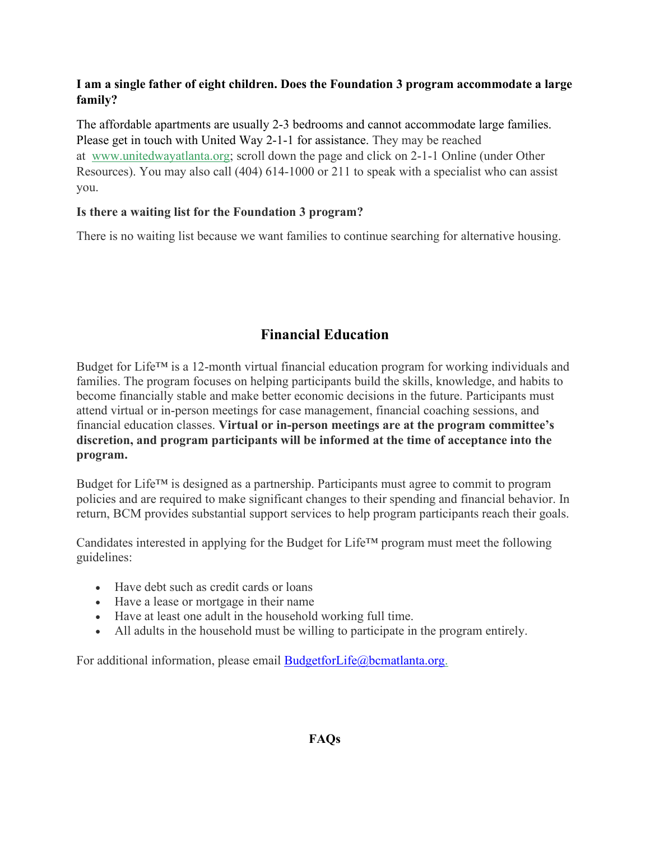## **I am a single father of eight children. Does the Foundation 3 program accommodate a large family?**

The affordable apartments are usually 2-3 bedrooms and cannot accommodate large families. Please get in touch with United Way 2-1-1 for assistance. They may be reached at [www.unitedwayatlanta.org;](http://www.unitedwayatlanta.org/) scroll down the page and click on 2-1-1 Online (under Other Resources). You may also call (404) 614-1000 or 211 to speak with a specialist who can assist you.

## **Is there a waiting list for the Foundation 3 program?**

There is no waiting list because we want families to continue searching for alternative housing.

# **Financial Education**

Budget for Life™ is a 12-month virtual financial education program for working individuals and families. The program focuses on helping participants build the skills, knowledge, and habits to become financially stable and make better economic decisions in the future. Participants must attend virtual or in-person meetings for case management, financial coaching sessions, and financial education classes. **Virtual or in-person meetings are at the program committee's discretion, and program participants will be informed at the time of acceptance into the program.**

Budget for Life™ is designed as a partnership. Participants must agree to commit to program policies and are required to make significant changes to their spending and financial behavior. In return, BCM provides substantial support services to help program participants reach their goals.

Candidates interested in applying for the Budget for Life™ program must meet the following guidelines:

- Have debt such as credit cards or loans
- Have a lease or mortgage in their name
- Have at least one adult in the household working full time.
- All adults in the household must be willing to participate in the program entirely.

For additional information, please email [BudgetforLife@bcmatlanta.org.](mailto:BudgetforLife@bcmatlanta.org)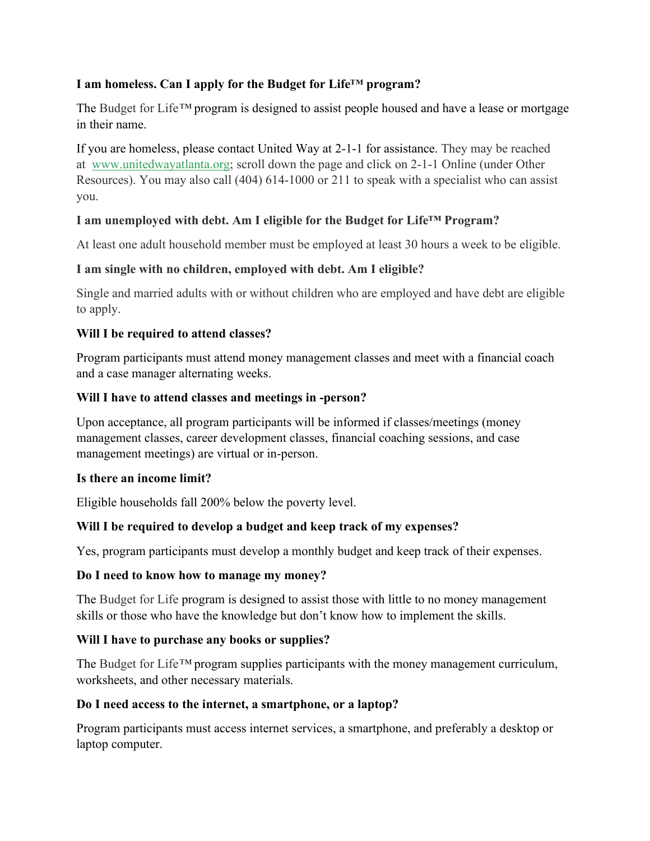## **I am homeless. Can I apply for the Budget for Life™ program?**

The Budget for Life*™* program is designed to assist people housed and have a lease or mortgage in their name.

If you are homeless, please contact United Way at 2-1-1 for assistance. They may be reached at [www.unitedwayatlanta.org;](http://www.unitedwayatlanta.org/) scroll down the page and click on 2-1-1 Online (under Other Resources). You may also call (404) 614-1000 or 211 to speak with a specialist who can assist you.

## **I am unemployed with debt. Am I eligible for the Budget for Life™ Program?**

At least one adult household member must be employed at least 30 hours a week to be eligible.

## **I am single with no children, employed with debt. Am I eligible?**

Single and married adults with or without children who are employed and have debt are eligible to apply.

## **Will I be required to attend classes?**

Program participants must attend money management classes and meet with a financial coach and a case manager alternating weeks.

## **Will I have to attend classes and meetings in -person?**

Upon acceptance, all program participants will be informed if classes/meetings (money management classes, career development classes, financial coaching sessions, and case management meetings) are virtual or in-person.

## **Is there an income limit?**

Eligible households fall 200% below the poverty level.

## **Will I be required to develop a budget and keep track of my expenses?**

Yes, program participants must develop a monthly budget and keep track of their expenses.

## **Do I need to know how to manage my money?**

The Budget for Life program is designed to assist those with little to no money management skills or those who have the knowledge but don't know how to implement the skills.

## **Will I have to purchase any books or supplies?**

The Budget for Life*™* program supplies participants with the money management curriculum, worksheets, and other necessary materials.

## **Do I need access to the internet, a smartphone, or a laptop?**

Program participants must access internet services, a smartphone, and preferably a desktop or laptop computer.